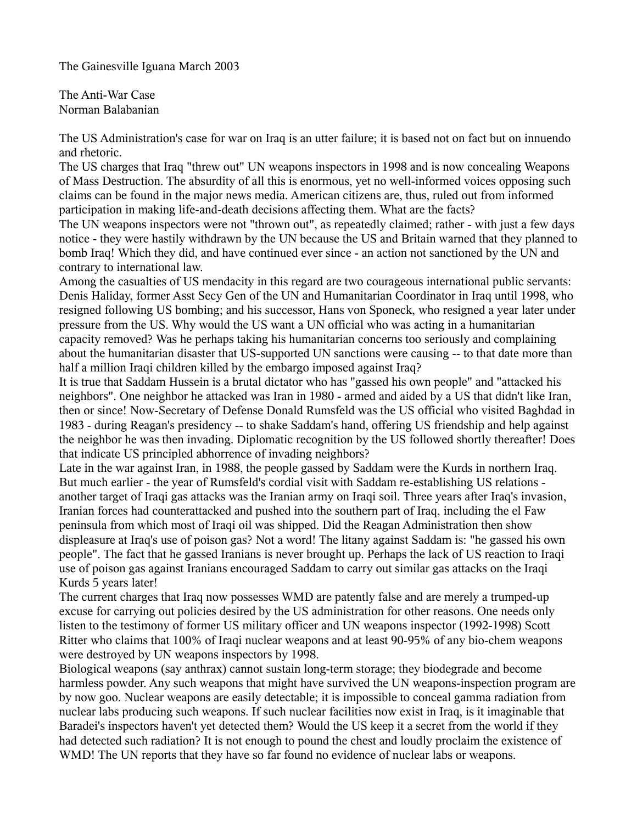The Gainesville Iguana March 2003

The Anti-War Case Norman Balabanian

The US Administration's case for war on Iraq is an utter failure; it is based not on fact but on innuendo and rhetoric.

The US charges that Iraq "threw out" UN weapons inspectors in 1998 and is now concealing Weapons of Mass Destruction. The absurdity of all this is enormous, yet no well-informed voices opposing such claims can be found in the major news media. American citizens are, thus, ruled out from informed participation in making life-and-death decisions affecting them. What are the facts?

The UN weapons inspectors were not "thrown out", as repeatedly claimed; rather - with just a few days notice - they were hastily withdrawn by the UN because the US and Britain warned that they planned to bomb Iraq! Which they did, and have continued ever since - an action not sanctioned by the UN and contrary to international law.

Among the casualties of US mendacity in this regard are two courageous international public servants: Denis Haliday, former Asst Secy Gen of the UN and Humanitarian Coordinator in Iraq until 1998, who resigned following US bombing; and his successor, Hans von Sponeck, who resigned a year later under pressure from the US. Why would the US want a UN official who was acting in a humanitarian capacity removed? Was he perhaps taking his humanitarian concerns too seriously and complaining about the humanitarian disaster that US-supported UN sanctions were causing -- to that date more than half a million Iraqi children killed by the embargo imposed against Iraq?

It is true that Saddam Hussein is a brutal dictator who has "gassed his own people" and "attacked his neighbors". One neighbor he attacked was Iran in 1980 - armed and aided by a US that didn't like Iran, then or since! Now-Secretary of Defense Donald Rumsfeld was the US official who visited Baghdad in 1983 - during Reagan's presidency -- to shake Saddam's hand, offering US friendship and help against the neighbor he was then invading. Diplomatic recognition by the US followed shortly thereafter! Does that indicate US principled abhorrence of invading neighbors?

Late in the war against Iran, in 1988, the people gassed by Saddam were the Kurds in northern Iraq. But much earlier - the year of Rumsfeld's cordial visit with Saddam re-establishing US relations another target of Iraqi gas attacks was the Iranian army on Iraqi soil. Three years after Iraq's invasion, Iranian forces had counterattacked and pushed into the southern part of Iraq, including the el Faw peninsula from which most of Iraqi oil was shipped. Did the Reagan Administration then show displeasure at Iraq's use of poison gas? Not a word! The litany against Saddam is: "he gassed his own people". The fact that he gassed Iranians is never brought up. Perhaps the lack of US reaction to Iraqi use of poison gas against Iranians encouraged Saddam to carry out similar gas attacks on the Iraqi Kurds 5 years later!

The current charges that Iraq now possesses WMD are patently false and are merely a trumped-up excuse for carrying out policies desired by the US administration for other reasons. One needs only listen to the testimony of former US military officer and UN weapons inspector (1992-1998) Scott Ritter who claims that 100% of Iraqi nuclear weapons and at least 90-95% of any bio-chem weapons were destroyed by UN weapons inspectors by 1998.

Biological weapons (say anthrax) cannot sustain long-term storage; they biodegrade and become harmless powder. Any such weapons that might have survived the UN weapons-inspection program are by now goo. Nuclear weapons are easily detectable; it is impossible to conceal gamma radiation from nuclear labs producing such weapons. If such nuclear facilities now exist in Iraq, is it imaginable that Baradei's inspectors haven't yet detected them? Would the US keep it a secret from the world if they had detected such radiation? It is not enough to pound the chest and loudly proclaim the existence of WMD! The UN reports that they have so far found no evidence of nuclear labs or weapons.